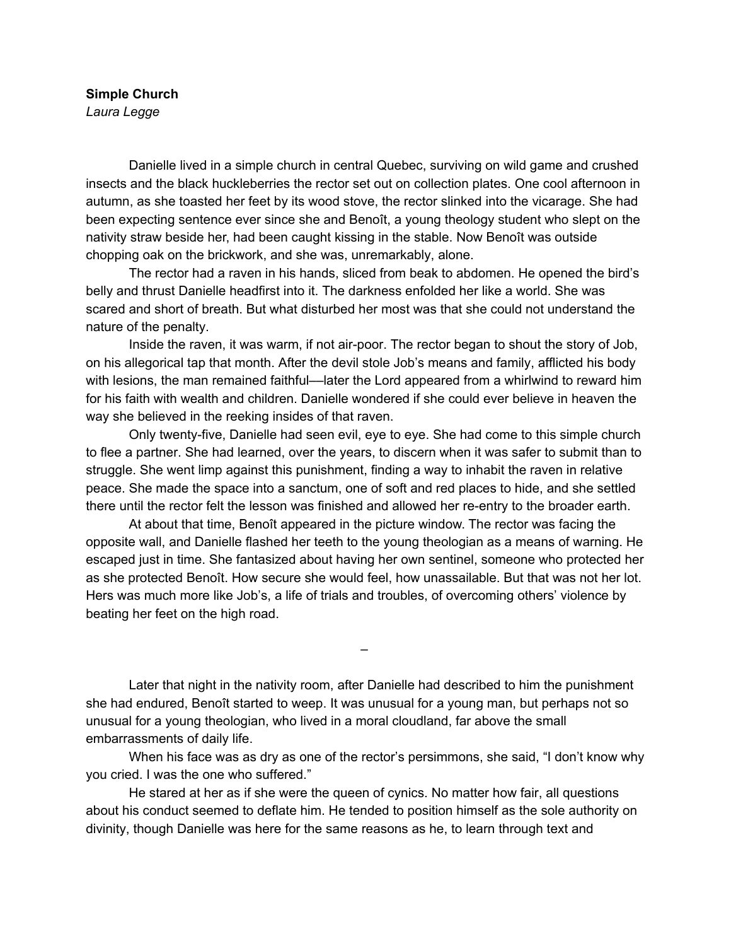## **Simple Church** *Laura Legge*

Danielle lived in a simple church in central Quebec, surviving on wild game and crushed insects and the black huckleberries the rector set out on collection plates. One cool afternoon in autumn, as she toasted her feet by its wood stove, the rector slinked into the vicarage. She had been expecting sentence ever since she and Benoît, a young theology student who slept on the nativity straw beside her, had been caught kissing in the stable. Now Benoît was outside chopping oak on the brickwork, and she was, unremarkably, alone.

The rector had a raven in his hands, sliced from beak to abdomen. He opened the bird's belly and thrust Danielle headfirst into it. The darkness enfolded her like a world. She was scared and short of breath. But what disturbed her most was that she could not understand the nature of the penalty.

Inside the raven, it was warm, if not air-poor. The rector began to shout the story of Job, on his allegorical tap that month. After the devil stole Job's means and family, afflicted his body with lesions, the man remained faithful—later the Lord appeared from a whirlwind to reward him for his faith with wealth and children. Danielle wondered if she could ever believe in heaven the way she believed in the reeking insides of that raven.

Only twenty-five, Danielle had seen evil, eye to eye. She had come to this simple church to flee a partner. She had learned, over the years, to discern when it was safer to submit than to struggle. She went limp against this punishment, finding a way to inhabit the raven in relative peace. She made the space into a sanctum, one of soft and red places to hide, and she settled there until the rector felt the lesson was finished and allowed her re-entry to the broader earth.

At about that time, Benoît appeared in the picture window. The rector was facing the opposite wall, and Danielle flashed her teeth to the young theologian as a means of warning. He escaped just in time. She fantasized about having her own sentinel, someone who protected her as she protected Benoît. How secure she would feel, how unassailable. But that was not her lot. Hers was much more like Job's, a life of trials and troubles, of overcoming others' violence by beating her feet on the high road.

–

Later that night in the nativity room, after Danielle had described to him the punishment she had endured, Benoît started to weep. It was unusual for a young man, but perhaps not so unusual for a young theologian, who lived in a moral cloudland, far above the small embarrassments of daily life.

When his face was as dry as one of the rector's persimmons, she said, "I don't know why you cried. I was the one who suffered."

He stared at her as if she were the queen of cynics. No matter how fair, all questions about his conduct seemed to deflate him. He tended to position himself as the sole authority on divinity, though Danielle was here for the same reasons as he, to learn through text and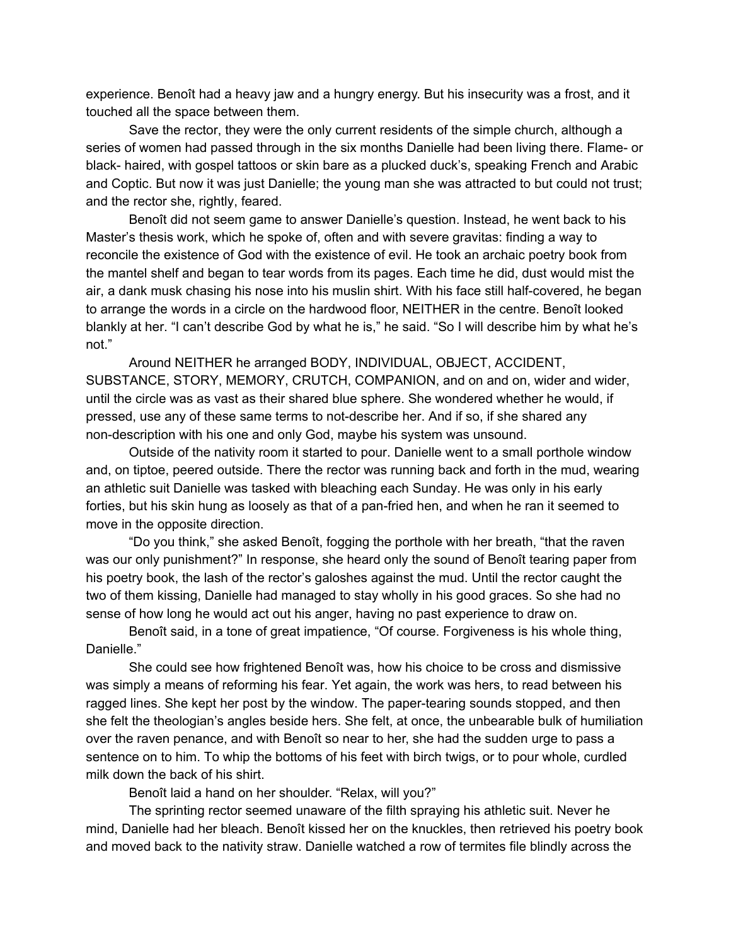experience. Benoît had a heavy jaw and a hungry energy. But his insecurity was a frost, and it touched all the space between them.

Save the rector, they were the only current residents of the simple church, although a series of women had passed through in the six months Danielle had been living there. Flame- or black- haired, with gospel tattoos or skin bare as a plucked duck's, speaking French and Arabic and Coptic. But now it was just Danielle; the young man she was attracted to but could not trust; and the rector she, rightly, feared.

Benoît did not seem game to answer Danielle's question. Instead, he went back to his Master's thesis work, which he spoke of, often and with severe gravitas: finding a way to reconcile the existence of God with the existence of evil. He took an archaic poetry book from the mantel shelf and began to tear words from its pages. Each time he did, dust would mist the air, a dank musk chasing his nose into his muslin shirt. With his face still half-covered, he began to arrange the words in a circle on the hardwood floor, NEITHER in the centre. Benoît looked blankly at her. "I can't describe God by what he is," he said. "So I will describe him by what he's not."

Around NEITHER he arranged BODY, INDIVIDUAL, OBJECT, ACCIDENT, SUBSTANCE, STORY, MEMORY, CRUTCH, COMPANION, and on and on, wider and wider, until the circle was as vast as their shared blue sphere. She wondered whether he would, if pressed, use any of these same terms to not-describe her. And if so, if she shared any non-description with his one and only God, maybe his system was unsound.

Outside of the nativity room it started to pour. Danielle went to a small porthole window and, on tiptoe, peered outside. There the rector was running back and forth in the mud, wearing an athletic suit Danielle was tasked with bleaching each Sunday. He was only in his early forties, but his skin hung as loosely as that of a pan-fried hen, and when he ran it seemed to move in the opposite direction.

"Do you think," she asked Benoît, fogging the porthole with her breath, "that the raven was our only punishment?" In response, she heard only the sound of Benoît tearing paper from his poetry book, the lash of the rector's galoshes against the mud. Until the rector caught the two of them kissing, Danielle had managed to stay wholly in his good graces. So she had no sense of how long he would act out his anger, having no past experience to draw on.

Benoît said, in a tone of great impatience, "Of course. Forgiveness is his whole thing, Danielle."

She could see how frightened Benoît was, how his choice to be cross and dismissive was simply a means of reforming his fear. Yet again, the work was hers, to read between his ragged lines. She kept her post by the window. The paper-tearing sounds stopped, and then she felt the theologian's angles beside hers. She felt, at once, the unbearable bulk of humiliation over the raven penance, and with Benoît so near to her, she had the sudden urge to pass a sentence on to him. To whip the bottoms of his feet with birch twigs, or to pour whole, curdled milk down the back of his shirt.

Benoît laid a hand on her shoulder. "Relax, will you?"

The sprinting rector seemed unaware of the filth spraying his athletic suit. Never he mind, Danielle had her bleach. Benoît kissed her on the knuckles, then retrieved his poetry book and moved back to the nativity straw. Danielle watched a row of termites file blindly across the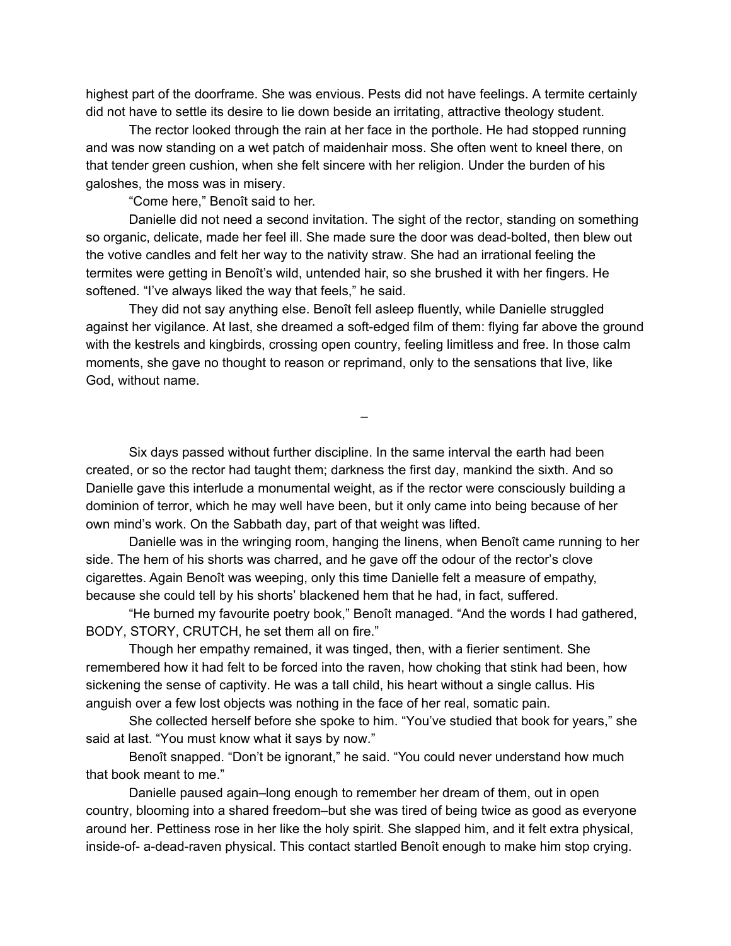highest part of the doorframe. She was envious. Pests did not have feelings. A termite certainly did not have to settle its desire to lie down beside an irritating, attractive theology student.

The rector looked through the rain at her face in the porthole. He had stopped running and was now standing on a wet patch of maidenhair moss. She often went to kneel there, on that tender green cushion, when she felt sincere with her religion. Under the burden of his galoshes, the moss was in misery.

"Come here," Benoît said to her.

Danielle did not need a second invitation. The sight of the rector, standing on something so organic, delicate, made her feel ill. She made sure the door was dead-bolted, then blew out the votive candles and felt her way to the nativity straw. She had an irrational feeling the termites were getting in Benoît's wild, untended hair, so she brushed it with her fingers. He softened. "I've always liked the way that feels," he said.

They did not say anything else. Benoît fell asleep fluently, while Danielle struggled against her vigilance. At last, she dreamed a soft-edged film of them: flying far above the ground with the kestrels and kingbirds, crossing open country, feeling limitless and free. In those calm moments, she gave no thought to reason or reprimand, only to the sensations that live, like God, without name.

–

Six days passed without further discipline. In the same interval the earth had been created, or so the rector had taught them; darkness the first day, mankind the sixth. And so Danielle gave this interlude a monumental weight, as if the rector were consciously building a dominion of terror, which he may well have been, but it only came into being because of her own mind's work. On the Sabbath day, part of that weight was lifted.

Danielle was in the wringing room, hanging the linens, when Benoît came running to her side. The hem of his shorts was charred, and he gave off the odour of the rector's clove cigarettes. Again Benoît was weeping, only this time Danielle felt a measure of empathy, because she could tell by his shorts' blackened hem that he had, in fact, suffered.

"He burned my favourite poetry book," Benoît managed. "And the words I had gathered, BODY, STORY, CRUTCH, he set them all on fire."

Though her empathy remained, it was tinged, then, with a fierier sentiment. She remembered how it had felt to be forced into the raven, how choking that stink had been, how sickening the sense of captivity. He was a tall child, his heart without a single callus. His anguish over a few lost objects was nothing in the face of her real, somatic pain.

She collected herself before she spoke to him. "You've studied that book for years," she said at last. "You must know what it says by now."

Benoît snapped. "Don't be ignorant," he said. "You could never understand how much that book meant to me."

Danielle paused again–long enough to remember her dream of them, out in open country, blooming into a shared freedom–but she was tired of being twice as good as everyone around her. Pettiness rose in her like the holy spirit. She slapped him, and it felt extra physical, inside-of- a-dead-raven physical. This contact startled Benoît enough to make him stop crying.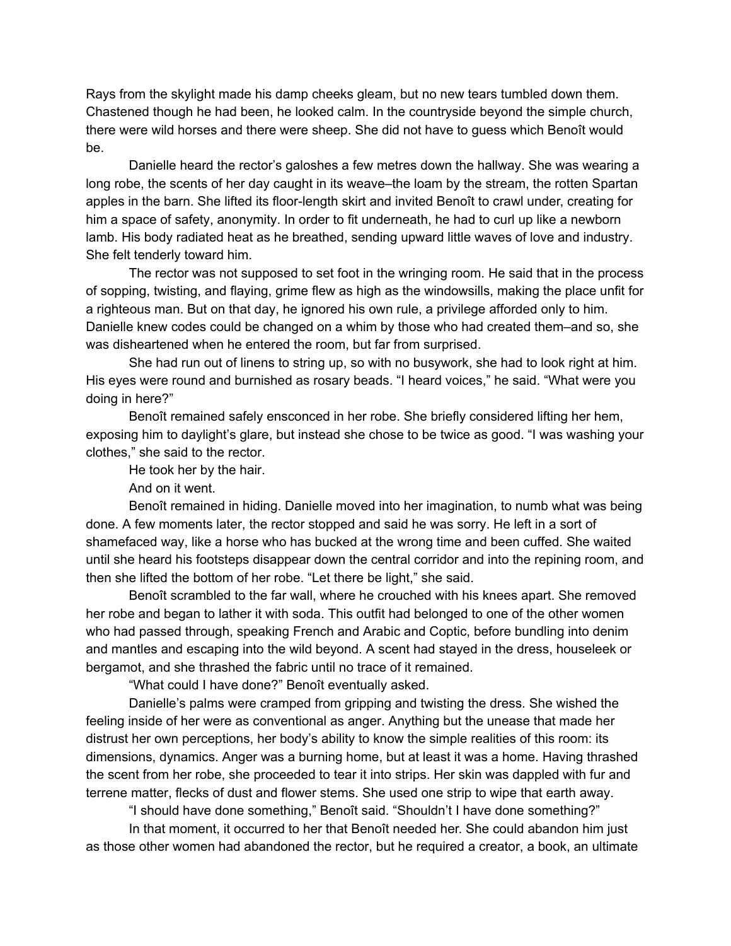Rays from the skylight made his damp cheeks gleam, but no new tears tumbled down them. Chastened though he had been, he looked calm. In the countryside beyond the simple church, there were wild horses and there were sheep. She did not have to guess which Benoît would be.

Danielle heard the rector's galoshes a few metres down the hallway. She was wearing a long robe, the scents of her day caught in its weave–the loam by the stream, the rotten Spartan apples in the barn. She lifted its floor-length skirt and invited Benoît to crawl under, creating for him a space of safety, anonymity. In order to fit underneath, he had to curl up like a newborn lamb. His body radiated heat as he breathed, sending upward little waves of love and industry. She felt tenderly toward him.

The rector was not supposed to set foot in the wringing room. He said that in the process of sopping, twisting, and flaying, grime flew as high as the windowsills, making the place unfit for a righteous man. But on that day, he ignored his own rule, a privilege afforded only to him. Danielle knew codes could be changed on a whim by those who had created them–and so, she was disheartened when he entered the room, but far from surprised.

She had run out of linens to string up, so with no busywork, she had to look right at him. His eyes were round and burnished as rosary beads. "I heard voices," he said. "What were you doing in here?"

Benoît remained safely ensconced in her robe. She briefly considered lifting her hem, exposing him to daylight's glare, but instead she chose to be twice as good. "I was washing your clothes," she said to the rector.

He took her by the hair.

And on it went.

Benoît remained in hiding. Danielle moved into her imagination, to numb what was being done. A few moments later, the rector stopped and said he was sorry. He left in a sort of shamefaced way, like a horse who has bucked at the wrong time and been cuffed. She waited until she heard his footsteps disappear down the central corridor and into the repining room, and then she lifted the bottom of her robe. "Let there be light," she said.

Benoît scrambled to the far wall, where he crouched with his knees apart. She removed her robe and began to lather it with soda. This outfit had belonged to one of the other women who had passed through, speaking French and Arabic and Coptic, before bundling into denim and mantles and escaping into the wild beyond. A scent had stayed in the dress, houseleek or bergamot, and she thrashed the fabric until no trace of it remained.

"What could I have done?" Benoît eventually asked.

Danielle's palms were cramped from gripping and twisting the dress. She wished the feeling inside of her were as conventional as anger. Anything but the unease that made her distrust her own perceptions, her body's ability to know the simple realities of this room: its dimensions, dynamics. Anger was a burning home, but at least it was a home. Having thrashed the scent from her robe, she proceeded to tear it into strips. Her skin was dappled with fur and terrene matter, flecks of dust and flower stems. She used one strip to wipe that earth away.

"I should have done something," Benoît said. "Shouldn't I have done something?"

In that moment, it occurred to her that Benoît needed her. She could abandon him just as those other women had abandoned the rector, but he required a creator, a book, an ultimate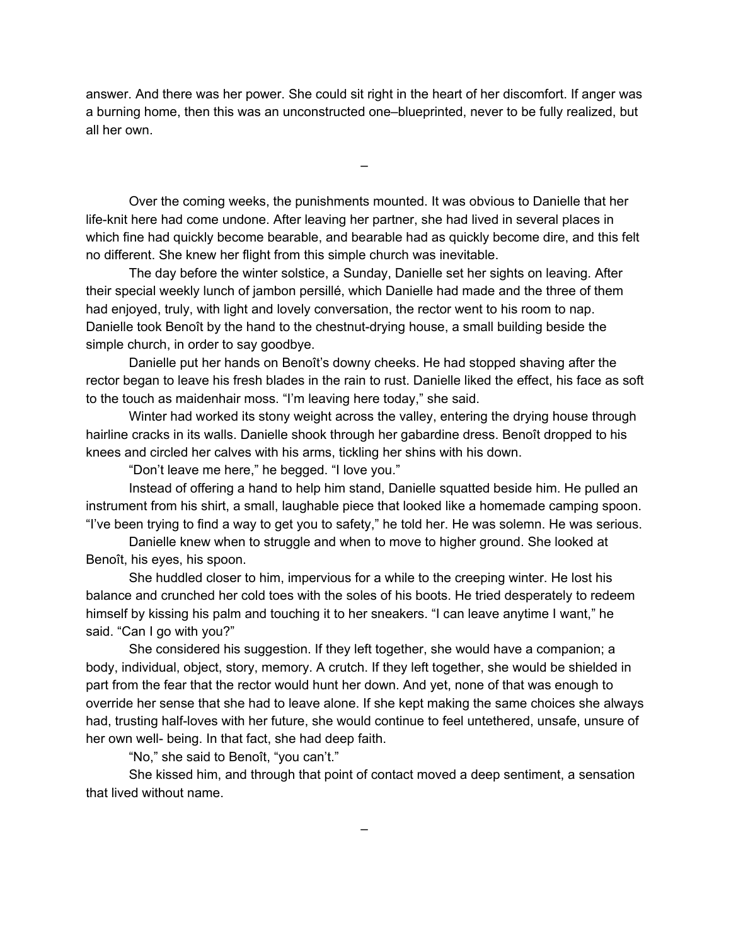answer. And there was her power. She could sit right in the heart of her discomfort. If anger was a burning home, then this was an unconstructed one–blueprinted, never to be fully realized, but all her own.

–

Over the coming weeks, the punishments mounted. It was obvious to Danielle that her life-knit here had come undone. After leaving her partner, she had lived in several places in which fine had quickly become bearable, and bearable had as quickly become dire, and this felt no different. She knew her flight from this simple church was inevitable.

The day before the winter solstice, a Sunday, Danielle set her sights on leaving. After their special weekly lunch of jambon persillé, which Danielle had made and the three of them had enjoyed, truly, with light and lovely conversation, the rector went to his room to nap. Danielle took Benoît by the hand to the chestnut-drying house, a small building beside the simple church, in order to say goodbye.

Danielle put her hands on Benoît's downy cheeks. He had stopped shaving after the rector began to leave his fresh blades in the rain to rust. Danielle liked the effect, his face as soft to the touch as maidenhair moss. "I'm leaving here today," she said.

Winter had worked its stony weight across the valley, entering the drying house through hairline cracks in its walls. Danielle shook through her gabardine dress. Benoît dropped to his knees and circled her calves with his arms, tickling her shins with his down.

"Don't leave me here," he begged. "I love you."

Instead of offering a hand to help him stand, Danielle squatted beside him. He pulled an instrument from his shirt, a small, laughable piece that looked like a homemade camping spoon. "I've been trying to find a way to get you to safety," he told her. He was solemn. He was serious.

Danielle knew when to struggle and when to move to higher ground. She looked at Benoît, his eyes, his spoon.

She huddled closer to him, impervious for a while to the creeping winter. He lost his balance and crunched her cold toes with the soles of his boots. He tried desperately to redeem himself by kissing his palm and touching it to her sneakers. "I can leave anytime I want," he said. "Can I go with you?"

She considered his suggestion. If they left together, she would have a companion; a body, individual, object, story, memory. A crutch. If they left together, she would be shielded in part from the fear that the rector would hunt her down. And yet, none of that was enough to override her sense that she had to leave alone. If she kept making the same choices she always had, trusting half-loves with her future, she would continue to feel untethered, unsafe, unsure of her own well- being. In that fact, she had deep faith.

"No," she said to Benoît, "you can't."

She kissed him, and through that point of contact moved a deep sentiment, a sensation that lived without name.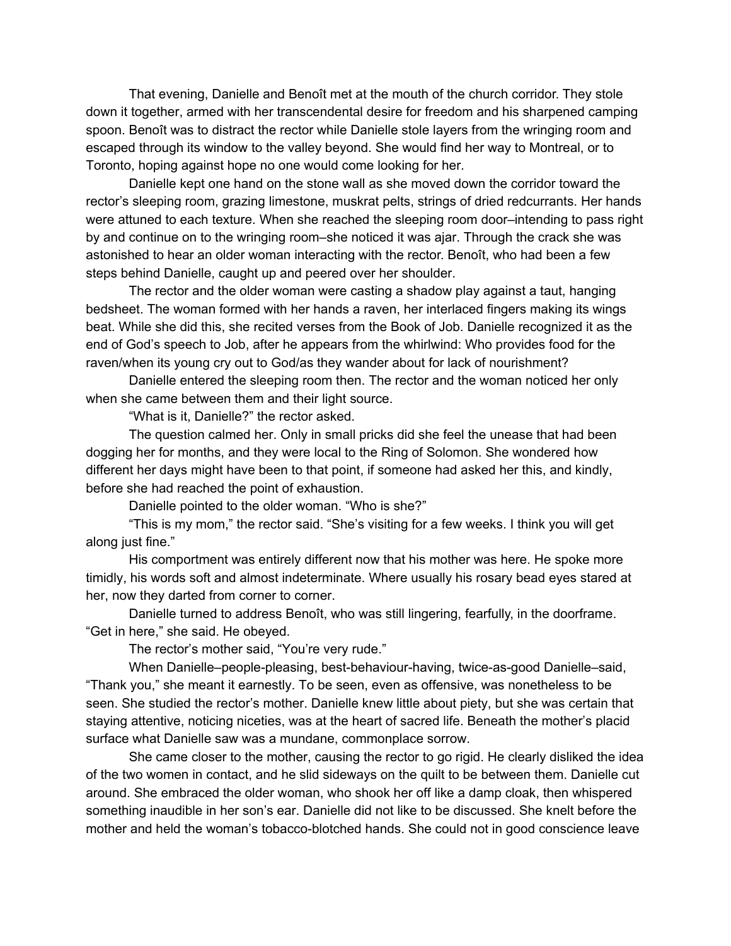That evening, Danielle and Benoît met at the mouth of the church corridor. They stole down it together, armed with her transcendental desire for freedom and his sharpened camping spoon. Benoît was to distract the rector while Danielle stole layers from the wringing room and escaped through its window to the valley beyond. She would find her way to Montreal, or to Toronto, hoping against hope no one would come looking for her.

Danielle kept one hand on the stone wall as she moved down the corridor toward the rector's sleeping room, grazing limestone, muskrat pelts, strings of dried redcurrants. Her hands were attuned to each texture. When she reached the sleeping room door–intending to pass right by and continue on to the wringing room–she noticed it was ajar. Through the crack she was astonished to hear an older woman interacting with the rector. Benoît, who had been a few steps behind Danielle, caught up and peered over her shoulder.

The rector and the older woman were casting a shadow play against a taut, hanging bedsheet. The woman formed with her hands a raven, her interlaced fingers making its wings beat. While she did this, she recited verses from the Book of Job. Danielle recognized it as the end of God's speech to Job, after he appears from the whirlwind: Who provides food for the raven/when its young cry out to God/as they wander about for lack of nourishment?

Danielle entered the sleeping room then. The rector and the woman noticed her only when she came between them and their light source.

"What is it, Danielle?" the rector asked.

The question calmed her. Only in small pricks did she feel the unease that had been dogging her for months, and they were local to the Ring of Solomon. She wondered how different her days might have been to that point, if someone had asked her this, and kindly, before she had reached the point of exhaustion.

Danielle pointed to the older woman. "Who is she?"

"This is my mom," the rector said. "She's visiting for a few weeks. I think you will get along just fine."

His comportment was entirely different now that his mother was here. He spoke more timidly, his words soft and almost indeterminate. Where usually his rosary bead eyes stared at her, now they darted from corner to corner.

Danielle turned to address Benoît, who was still lingering, fearfully, in the doorframe. "Get in here," she said. He obeyed.

The rector's mother said, "You're very rude."

When Danielle–people-pleasing, best-behaviour-having, twice-as-good Danielle–said, "Thank you," she meant it earnestly. To be seen, even as offensive, was nonetheless to be seen. She studied the rector's mother. Danielle knew little about piety, but she was certain that staying attentive, noticing niceties, was at the heart of sacred life. Beneath the mother's placid surface what Danielle saw was a mundane, commonplace sorrow.

She came closer to the mother, causing the rector to go rigid. He clearly disliked the idea of the two women in contact, and he slid sideways on the quilt to be between them. Danielle cut around. She embraced the older woman, who shook her off like a damp cloak, then whispered something inaudible in her son's ear. Danielle did not like to be discussed. She knelt before the mother and held the woman's tobacco-blotched hands. She could not in good conscience leave